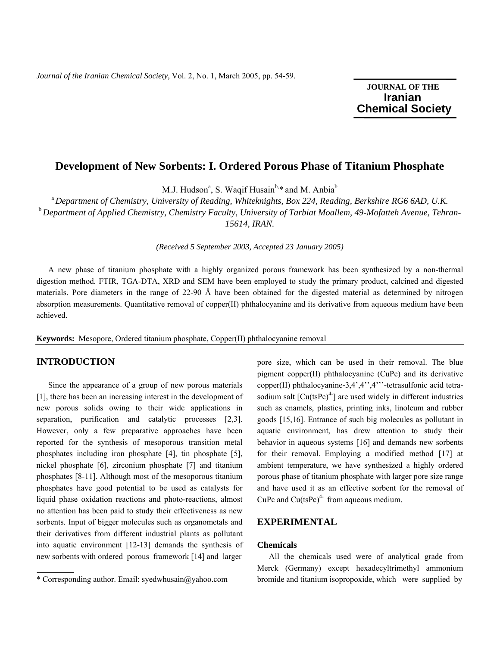# **JOURNAL OF THE Iranian**  **Chemical Society**

# **Development of New Sorbents: I. Ordered Porous Phase of Titanium Phosphate**

M.J. Hudson<sup>a</sup>, S. Waqif Husain<sup>b,\*</sup> and M. Anbia<sup>b</sup>

<sup>a</sup>*Department of Chemistry, University of Reading, Whiteknights, Box 224, Reading, Berkshire RG6 6AD, U.K.*  <sup>b</sup>*Department of Applied Chemistry, Chemistry Faculty, University of Tarbiat Moallem, 49-Mofatteh Avenue, Tehran-15614, IRAN.* 

*(Received 5 September 2003, Accepted 23 January 2005)* 

A new phase of titanium phosphate with a highly organized porous framework has been synthesized by a non-thermal digestion method. FTIR, TGA-DTA, XRD and SEM have been employed to study the primary product, calcined and digested materials. Pore diameters in the range of 22-90 Å have been obtained for the digested material as determined by nitrogen absorption measurements. Quantitative removal of copper(II) phthalocyanine and its derivative from aqueous medium have been achieved.

**Keywords:** Mesopore, Ordered titanium phosphate, Copper(II) phthalocyanine removal

### **INTRODUCTION**

 Since the appearance of a group of new porous materials [1], there has been an increasing interest in the development of new porous solids owing to their wide applications in separation, purification and catalytic processes [2,3]. However, only a few preparative approaches have been reported for the synthesis of mesoporous transition metal phosphates including iron phosphate [4], tin phosphate [5], nickel phosphate [6], zirconium phosphate [7] and titanium phosphates [8-11]. Although most of the mesoporous titanium phosphates have good potential to be used as catalysts for liquid phase oxidation reactions and photo-reactions, almost no attention has been paid to study their effectiveness as new sorbents. Input of bigger molecules such as organometals and their derivatives from different industrial plants as pollutant into aquatic environment [12-13] demands the synthesis of new sorbents with ordered porous framework [14] and larger

pore size, which can be used in their removal. The blue pigment copper(II) phthalocyanine (CuPc) and its derivative copper(II) phthalocyanine-3,4',4'',4'''-tetrasulfonic acid tetrasodium salt  $[Cu(tsPc)^{4}]$  are used widely in different industries such as enamels, plastics, printing inks, linoleum and rubber goods [15,16]. Entrance of such big molecules as pollutant in aquatic environment, has drew attention to study their behavior in aqueous systems [16] and demands new sorbents for their removal. Employing a modified method [17] at ambient temperature, we have synthesized a highly ordered porous phase of titanium phosphate with larger pore size range and have used it as an effective sorbent for the removal of CuPc and  $Cu(tsPc)^4$  from aqueous medium.

## **EXPERIMENTAL**

### **Chemicals**

 All the chemicals used were of analytical grade from Merck (Germany) except hexadecyltrimethyl ammonium bromide and titanium isopropoxide, which were supplied by

<sup>\*</sup> Corresponding author. Email: syedwhusain@yahoo.com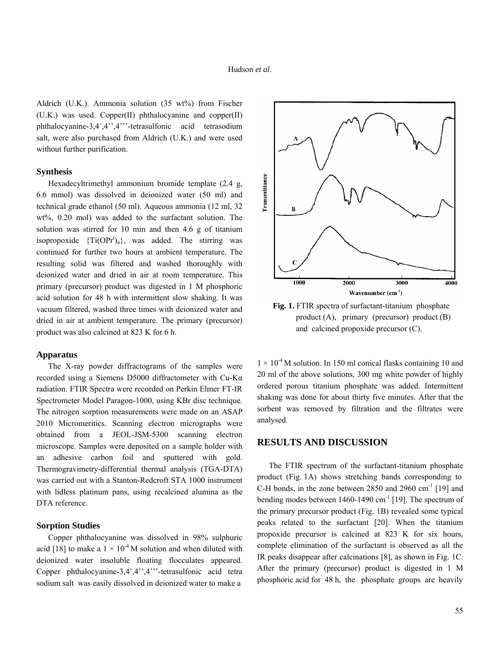Aldrich (U.K.). Ammonia solution (35 wt%) from Fischer (U.K.) was used. Copper(II) phthalocyanine and copper(II) phthalocyanine-3,4´,4'',4'''-tetrasulfonic acid tetrasodium salt, were also purchased from Aldrich (U.K.) and were used without further purification.

#### **Synthesis**

 Hexadecyltrimethyl ammonium bromide template (2.4 g, 6.6 mmol) was dissolved in deionized water (50 ml) and technical grade ethanol (50 ml). Aqueous ammonia (12 ml, 32 wt%, 0.20 mol) was added to the surfactant solution. The solution was stirred for 10 min and then 4.6 g of titanium isopropoxide  $\{Ti(OPr^i)_4\}$ , was added. The stirring was continued for further two hours at ambient temperature. The resulting solid was filtered and washed thoroughly with deionized water and dried in air at room temperature. This primary (precursor) product was digested in 1 M phosphoric acid solution for 48 h with intermittent slow shaking. It was vacuum filtered, washed three times with deionized water and dried in air at ambient temperature. The primary (precursor) product was also calcined at 823 K for 6 h.

#### **Apparatus**

The X-ray powder diffractograms of the samples were recorded using a Siemens D5000 diffractometer with Cu-Kα radiation. FTIR Spectra were recorded on Perkin Elmer FT-IR Spectrometer Model Paragon-1000, using KBr disc technique. The nitrogen sorption measurements were made on an ASAP 2010 Micromeritics. Scanning electron micrographs were obtained from a JEOL-JSM-5300 scanning electron microscope. Samples were deposited on a sample holder with an adhesive carbon foil and sputtered with gold. Thermogravimetry-differential thermal analysis (TGA-DTA) was carried out with a Stanton-Redcroft STA 1000 instrument with lidless platinum pans, using recalcined alumina as the DTA reference.

### **Sorption Studies**

 Copper phthalocyanine was dissolved in 98% sulphuric acid [18] to make a  $1 \times 10^{-4}$  M solution and when diluted with deionized water insoluble floating flocculates appeared. Copper phthalocyanine-3,4',4'',4'''-tetrasulfonic acid tetra sodium salt was easily dissolved in deionized water to make a



 **Fig. 1.** FTIR spectra of surfactant-titanium phosphate product (A), primary (precursor) product (B) and calcined propoxide precursor (C).

 $1 \times 10^{-4}$  M solution. In 150 ml conical flasks containing 10 and 20 ml of the above solutions, 300 mg white powder of highly ordered porous titanium phosphate was added. Intermittent shaking was done for about thirty five minutes. After that the sorbent was removed by filtration and the filtrates were analysed.

## **RESULTS AND DISCUSSION**

 The FTIR spectrum of the surfactant-titanium phosphate product (Fig. 1A) shows stretching bands corresponding to C-H bonds, in the zone between  $2850$  and  $2960$  cm<sup>-1</sup> [19] and bending modes between  $1460-1490$  cm<sup>-1</sup> [19]. The spectrum of the primary precursor product (Fig. 1B) revealed some typical peaks related to the surfactant [20]. When the titanium propoxide precursor is calcined at 823 K for six hours, complete elimination of the surfactant is observed as all the IR peaks disappear after calcinations [8], as shown in Fig. 1C. After the primary (precursor) product is digested in 1 M phosphoric acid for 48 h, the phosphate groups are heavily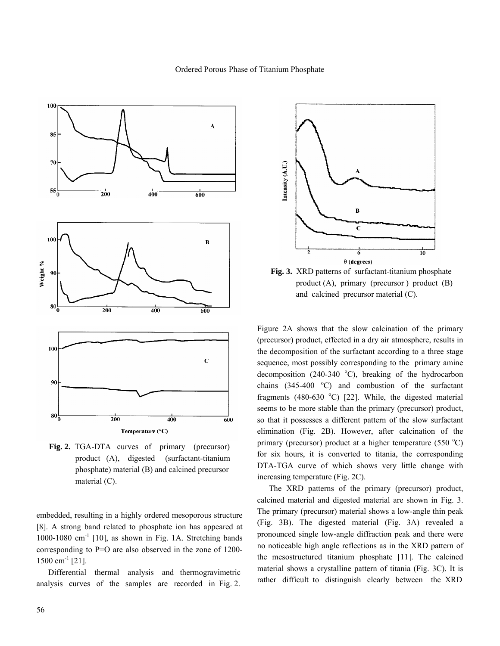



**Fig. 2.** TGA-DTA curves of primary (precursor) product (A), digested (surfactant-titanium phosphate) material (B) and calcined precursor material (C).

embedded, resulting in a highly ordered mesoporous structure [8]. A strong band related to phosphate ion has appeared at 1000-1080 cm<sup>-1</sup> [10], as shown in Fig. 1A. Stretching bands corresponding to P=O are also observed in the zone of 1200-  $1500 \text{ cm}^{-1}$  [21].

 Differential thermal analysis and thermogravimetric analysis curves of the samples are recorded in Fig. 2.



 **Fig. 3.** XRD patterns of surfactant-titanium phosphate product (A), primary (precursor ) product (B) and calcined precursor material (C).

Figure 2A shows that the slow calcination of the primary (precursor) product, effected in a dry air atmosphere, results in the decomposition of the surfactant according to a three stage sequence, most possibly corresponding to the primary amine decomposition (240-340  $^{\circ}$ C), breaking of the hydrocarbon chains  $(345-400 \degree C)$  and combustion of the surfactant fragments (480-630  $^{\circ}$ C) [22]. While, the digested material seems to be more stable than the primary (precursor) product, so that it possesses a different pattern of the slow surfactant elimination (Fig. 2B). However, after calcination of the primary (precursor) product at a higher temperature  $(550 °C)$ for six hours, it is converted to titania, the corresponding DTA-TGA curve of which shows very little change with increasing temperature (Fig. 2C).

 The XRD patterns of the primary (precursor) product, calcined material and digested material are shown in Fig. 3. The primary (precursor) material shows a low-angle thin peak (Fig. 3B). The digested material (Fig. 3A) revealed a pronounced single low-angle diffraction peak and there were no noticeable high angle reflections as in the XRD pattern of the mesostructured titanium phosphate [11]. The calcined material shows a crystalline pattern of titania (Fig. 3C). It is rather difficult to distinguish clearly between the XRD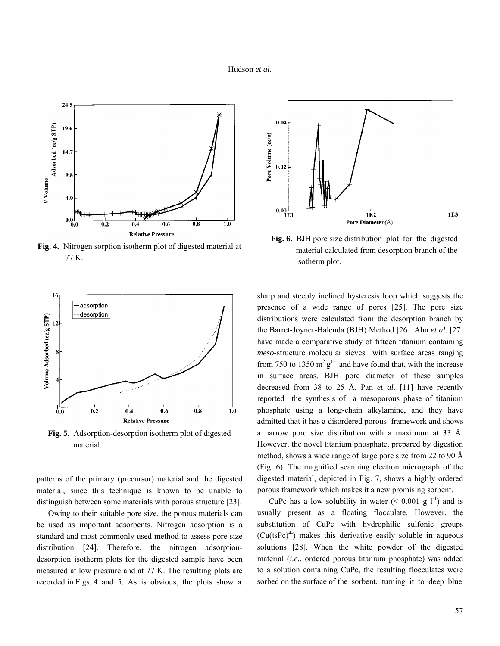#### Hudson *et al*.



**Fig. 4.** Nitrogen sorption isotherm plot of digested material at 77 K.



**Fig. 5.** Adsorption-desorption isotherm plot of digested material.

patterns of the primary (precursor) material and the digested material, since this technique is known to be unable to distinguish between some materials with porous structure [23].

 Owing to their suitable pore size, the porous materials can be used as important adsorbents. Nitrogen adsorption is a standard and most commonly used method to assess pore size distribution [24]. Therefore, the nitrogen adsorptiondesorption isotherm plots for the digested sample have been measured at low pressure and at 77 K. The resulting plots are recorded in Figs. 4 and 5. As is obvious, the plots show a



 **Fig. 6.** BJH pore size distribution plot for the digested material calculated from desorption branch of the isotherm plot.

sharp and steeply inclined hysteresis loop which suggests the presence of a wide range of pores [25]. The pore size distributions were calculated from the desorption branch by the Barret-Joyner-Halenda (BJH) Method [26]. Ahn *et al*. [27] have made a comparative study of fifteen titanium containing *meso*-structure molecular sieves with surface areas ranging from 750 to 1350  $m^2 g^{1}$  and have found that, with the increase in surface areas, BJH pore diameter of these samples decreased from 38 to 25 Å. Pan *et al*. [11] have recently reported the synthesis of a mesoporous phase of titanium phosphate using a long-chain alkylamine, and they have admitted that it has a disordered porous framework and shows a narrow pore size distribution with a maximum at 33 Å. However, the novel titanium phosphate, prepared by digestion method, shows a wide range of large pore size from 22 to 90 Å (Fig. 6). The magnified scanning electron micrograph of the digested material, depicted in Fig. 7, shows a highly ordered porous framework which makes it a new promising sorbent.

CuPc has a low solubility in water  $(< 0.001$  g l<sup>-1</sup>) and is usually present as a floating flocculate. However, the substitution of CuPc with hydrophilic sulfonic groups  $(Cu(tsPc)^4)$  makes this derivative easily soluble in aqueous solutions [28]. When the white powder of the digested material (*i.e.*, ordered porous titanium phosphate) was added to a solution containing CuPc, the resulting flocculates were sorbed on the surface of the sorbent, turning it to deep blue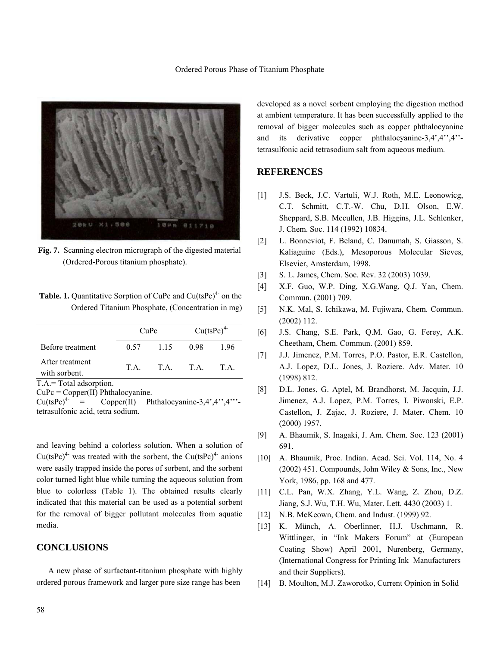

**Fig. 7.** Scanning electron micrograph of the digested material (Ordered-Porous titanium phosphate).

**Table. 1.** Quantitative Sorption of CuPc and Cu(tsPc)<sup>4-</sup> on the Ordered Titanium Phosphate, (Concentration in mg)

|                                  | CuPc |           | $Cu(tsPc)^{4}$ |     |
|----------------------------------|------|-----------|----------------|-----|
| Before treatment                 | 0.57 | 1.15      | 0.98           | 196 |
| After treatment<br>with sorbent. | T A  | T.A. T.A. |                | T A |
| T.A.= Total adsorption.          |      |           |                |     |

 $CuPe = Copper(II)$  Phthalocyanine.<br>Cu(tsPc)<sup>4-</sup> = Copper(II) Pl  $=$  Copper(II) Phthalocyanine-3,4',4'',4'''tetrasulfonic acid, tetra sodium.

and leaving behind a colorless solution. When a solution of  $Cu(tsPc)^{4}$  was treated with the sorbent, the Cu(tsPc)<sup>4-</sup> anions were easily trapped inside the pores of sorbent, and the sorbent color turned light blue while turning the aqueous solution from blue to colorless (Table 1). The obtained results clearly indicated that this material can be used as a potential sorbent for the removal of bigger pollutant molecules from aquatic media.

## **CONCLUSIONS**

 A new phase of surfactant-titanium phosphate with highly ordered porous framework and larger pore size range has been

developed as a novel sorbent employing the digestion method at ambient temperature. It has been successfully applied to the removal of bigger molecules such as copper phthalocyanine and its derivative copper phthalocyanine-3,4',4'',4'' tetrasulfonic acid tetrasodium salt from aqueous medium.

## **REFERENCES**

- [1] J.S. Beck, J.C. Vartuli, W.J. Roth, M.E. Leonowicg, C.T. Schmitt, C.T.-W. Chu, D.H. Olson, E.W. Sheppard, S.B. Mccullen, J.B. Higgins, J.L. Schlenker, J. Chem. Soc. 114 (1992) 10834.
- [2] L. Bonneviot, F. Beland, C. Danumah, S. Giasson, S. Kaliaguine (Eds.), Mesoporous Molecular Sieves, Elsevier, Amsterdam, 1998.
- [3] S. L. James, Chem. Soc. Rev. 32 (2003) 1039.
- [4] X.F. Guo, W.P. Ding, X.G.Wang, Q.J. Yan, Chem. Commun. (2001) 709.
- [5] N.K. Mal, S. Ichikawa, M. Fujiwara, Chem. Commun. (2002) 112.
- [6] J.S. Chang, S.E. Park, Q.M. Gao, G. Ferey, A.K. Cheetham, Chem. Commun. (2001) 859.
- [7] J.J. Jimenez, P.M. Torres, P.O. Pastor, E.R. Castellon, A.J. Lopez, D.L. Jones, J. Roziere. Adv. Mater. 10 (1998) 812.
- [8] D.L. Jones, G. Aptel, M. Brandhorst, M. Jacquin, J.J. Jimenez, A.J. Lopez, P.M. Torres, I. Piwonski, E.P. Castellon, J. Zajac, J. Roziere, J. Mater. Chem. 10 (2000) 1957.
- [9] A. Bhaumik, S. Inagaki, J. Am. Chem. Soc. 123 (2001) 691.
- [10] A. Bhaumik, Proc. Indian. Acad. Sci. Vol. 114, No. 4 (2002) 451. Compounds, John Wiley & Sons, Inc., New York, 1986, pp. 168 and 477.
- [11] C.L. Pan, W.X. Zhang, Y.L. Wang, Z. Zhou, D.Z. Jiang, S.J. Wu, T.H. Wu, Mater. Lett. 4430 (2003) 1.
- [12] N.B. MeKeown, Chem. and Indust. (1999) 92.
- [13] K. Münch, A. Oberlinner, H.J. Uschmann, R. Wittlinger, in "Ink Makers Forum" at (European Coating Show) April 2001, Nurenberg, Germany, (International Congress for Printing Ink Manufacturers and their Suppliers).
- [14] B. Moulton, M.J. Zaworotko, Current Opinion in Solid